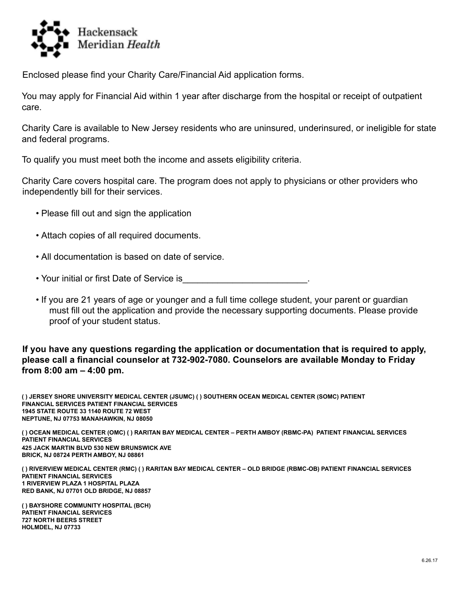

Enclosed please find your Charity Care/Financial Aid application forms.

You may apply for Financial Aid within 1 year after discharge from the hospital or receipt of outpatient care.

Charity Care is available to New Jersey residents who are uninsured, underinsured, or ineligible for state and federal programs.

To qualify you must meet both the income and assets eligibility criteria.

Charity Care covers hospital care. The program does not apply to physicians or other providers who independently bill for their services.

- Please fill out and sign the application
- Attach copies of all required documents.
- All documentation is based on date of service.
- Your initial or first Date of Service is
- If you are 21 years of age or younger and a full time college student, your parent or guardian must fill out the application and provide the necessary supporting documents. Please provide proof of your student status.

### **If you have any questions regarding the application or documentation that is required to apply, please call a financial counselor at 732-902-7080. Counselors are available Monday to Friday from 8:00 am – 4:00 pm.**

**( ) JERSEY SHORE UNIVERSITY MEDICAL CENTER (JSUMC) ( ) SOUTHERN OCEAN MEDICAL CENTER (SOMC) PATIENT FINANCIAL SERVICES PATIENT FINANCIAL SERVICES 1945 STATE ROUTE 33 1140 ROUTE 72 WEST NEPTUNE, NJ 07753 MANAHAWKIN, NJ 08050**

() OCEAN MEDICAL CENTER (OMC) () RARITAN BAY MEDICAL CENTER - PERTH AMBOY (RBMC-PA) PATIENT FINANCIAL SERVICES **PATIENT FINANCIAL SERVICES 425 JACK MARTIN BLVD 530 NEW BRUNSWICK AVE BRICK, NJ 08724 PERTH AMBOY, NJ 08861**

() RIVERVIEW MEDICAL CENTER (RMC) () RARITAN BAY MEDICAL CENTER - OLD BRIDGE (RBMC-OB) PATIENT FINANCIAL SERVICES **PATIENT FINANCIAL SERVICES 1 RIVERVIEW PLAZA 1 HOSPITAL PLAZA RED BANK, NJ 07701 OLD BRIDGE, NJ 08857**

**( ) BAYSHORE COMMUNITY HOSPITAL (BCH) PATIENT FINANCIAL SERVICES 727 NORTH BEERS STREET HOLMDEL, NJ 07733**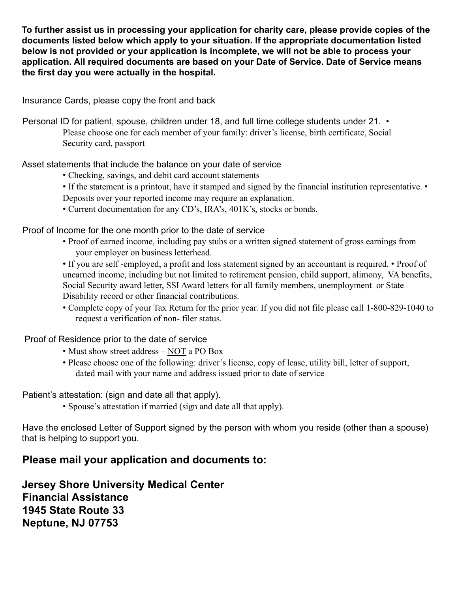**To further assist us in processing your application for charity care, please provide copies of the documents listed below which apply to your situation. If the appropriate documentation listed below is not provided or your application is incomplete, we will not be able to process your application. All required documents are based on your Date of Service. Date of Service means the first day you were actually in the hospital.**

Insurance Cards, please copy the front and back

Personal ID for patient, spouse, children under 18, and full time college students under 21. • Please choose one for each member of your family: driver's license, birth certificate, Social Security card, passport

Asset statements that include the balance on your date of service

- Checking, savings, and debit card account statements
- If the statement is a printout, have it stamped and signed by the financial institution representative. •
- Deposits over your reported income may require an explanation.
- Current documentation for any CD's, IRA's, 401K's, stocks or bonds.

Proof of Income for the one month prior to the date of service

• Proof of earned income, including pay stubs or a written signed statement of gross earnings from your employer on business letterhead.

• If you are self -employed, a profit and loss statement signed by an accountant is required. • Proof of unearned income, including but not limited to retirement pension, child support, alimony, VA benefits, Social Security award letter, SSI Award letters for all family members, unemployment or State Disability record or other financial contributions.

• Complete copy of your Tax Return for the prior year. If you did not file please call 1-800-829-1040 to request a verification of non- filer status.

Proof of Residence prior to the date of service

- Must show street address NOT a PO Box
- Please choose one of the following: driver's license, copy of lease, utility bill, letter of support, dated mail with your name and address issued prior to date of service

Patient's attestation: (sign and date all that apply).

• Spouse's attestation if married (sign and date all that apply).

Have the enclosed Letter of Support signed by the person with whom you reside (other than a spouse) that is helping to support you.

# **Please mail your application and documents to:**

**Jersey Shore University Medical Center Financial Assistance 1945 State Route 33 Neptune, NJ 07753**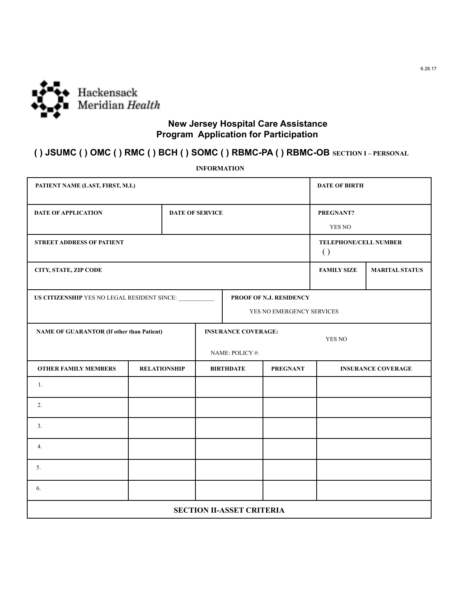

### **New Jersey Hospital Care Assistance Program Application for Participation**

### **( ) JSUMC ( ) OMC ( ) RMC ( ) BCH ( ) SOMC ( ) RBMC-PA ( ) RBMC-OB SECTION I – PERSONAL**

| PATIENT NAME (LAST, FIRST, M.I.)                                       |                     |                 |                                      |                           |                              | <b>DATE OF BIRTH</b>      |  |  |
|------------------------------------------------------------------------|---------------------|-----------------|--------------------------------------|---------------------------|------------------------------|---------------------------|--|--|
| <b>DATE OF APPLICATION</b>                                             |                     | DATE OF SERVICE |                                      |                           | PREGNANT?                    |                           |  |  |
|                                                                        |                     |                 |                                      |                           |                              | YES NO                    |  |  |
| <b>STREET ADDRESS OF PATIENT</b><br>$\left( \right)$                   |                     |                 |                                      |                           | <b>TELEPHONE/CELL NUMBER</b> |                           |  |  |
| CITY, STATE, ZIP CODE                                                  |                     |                 |                                      |                           | <b>FAMILY SIZE</b>           | <b>MARITAL STATUS</b>     |  |  |
| US CITIZENSHIP YES NO LEGAL RESIDENT SINCE:<br>PROOF OF N.J. RESIDENCY |                     |                 |                                      |                           |                              |                           |  |  |
|                                                                        |                     |                 |                                      | YES NO EMERGENCY SERVICES |                              |                           |  |  |
| <b>NAME OF GUARANTOR (If other than Patient)</b>                       |                     |                 | <b>INSURANCE COVERAGE:</b><br>YES NO |                           |                              |                           |  |  |
| NAME: POLICY #:                                                        |                     |                 |                                      |                           |                              |                           |  |  |
| <b>OTHER FAMILY MEMBERS</b>                                            | <b>RELATIONSHIP</b> |                 |                                      | <b>BIRTHDATE</b>          | <b>PREGNANT</b>              | <b>INSURANCE COVERAGE</b> |  |  |
| 1.                                                                     |                     |                 |                                      |                           |                              |                           |  |  |
| 2.                                                                     |                     |                 |                                      |                           |                              |                           |  |  |
| 3.                                                                     |                     |                 |                                      |                           |                              |                           |  |  |
| 4.                                                                     |                     |                 |                                      |                           |                              |                           |  |  |
| 5.                                                                     |                     |                 |                                      |                           |                              |                           |  |  |
| 6.                                                                     |                     |                 |                                      |                           |                              |                           |  |  |
| <b>SECTION II-ASSET CRITERIA</b>                                       |                     |                 |                                      |                           |                              |                           |  |  |

**INFORMATION**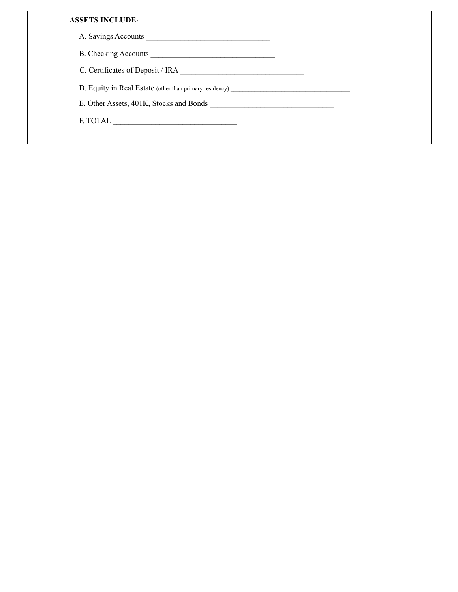### **ASSETS INCLUDE:**

A. Savings Accounts \_\_\_\_\_\_\_\_\_\_\_\_\_\_\_\_\_\_\_\_\_\_\_\_\_\_\_\_\_\_\_\_

B. Checking Accounts \_\_\_\_\_\_\_\_\_\_\_\_\_\_\_\_\_\_\_\_\_\_\_\_\_\_\_\_\_\_\_\_

C. Certificates of Deposit / IRA \_\_\_\_\_\_\_\_\_\_\_\_\_\_\_\_\_\_\_\_\_\_\_\_\_\_\_\_\_\_\_\_

D. Equity in Real Estate (other than primary residency)

E. Other Assets, 401K, Stocks and Bonds \_\_\_\_\_\_\_\_\_\_\_\_\_\_\_\_\_\_\_\_\_\_\_\_\_\_\_\_\_\_\_\_

F. TOTAL \_\_\_\_\_\_\_\_\_\_\_\_\_\_\_\_\_\_\_\_\_\_\_\_\_\_\_\_\_\_\_\_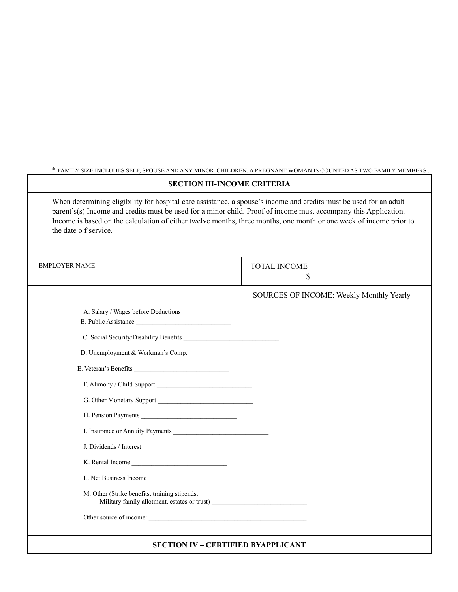\* FAMILY SIZE INCLUDES SELF, SPOUSE AND ANY MINOR CHILDREN. A PREGNANT WOMAN IS COUNTED AS TWO FAMILY MEMBERS . **SECTION III-INCOME CRITERIA** When determining eligibility for hospital care assistance, a spouse's income and credits must be used for an adult parent's(s) Income and credits must be used for a minor child. Proof of income must accompany this Application. Income is based on the calculation of either twelve months, three months, one month or one week of income prior to the date o f service. EMPLOYER NAME: TOTAL INCOME \$ SOURCES OF INCOME: Weekly Monthly Yearly A. Salary / Wages before Deductions \_\_\_\_\_\_\_\_\_\_\_\_\_\_\_\_\_\_\_\_\_\_\_\_\_\_\_\_\_\_\_\_ B. Public Assistance C. Social Security/Disability Benefits \_\_\_\_\_\_\_\_\_\_\_\_\_\_\_\_\_\_\_\_\_\_\_\_\_\_\_\_\_ D. Unemployment & Workman's Comp. E. Veteran's Benefits \_\_\_\_\_\_\_\_\_\_\_\_\_\_\_\_\_\_\_\_\_\_\_\_\_\_\_\_\_ F. Alimony / Child Support G. Other Monetary Support \_\_\_\_\_\_\_\_\_\_\_\_\_\_\_\_\_\_\_\_\_\_\_\_\_\_\_\_\_ H. Pension Payments I. Insurance or Annuity Payments J. Dividends / Interest \_\_\_\_\_\_\_\_\_\_\_\_\_\_\_\_\_\_\_\_\_\_\_\_\_\_\_\_\_ K. Rental Income L. Net Business Income M. Other (Strike benefits, training stipends, Military family allotment, estates or trust) \_\_\_\_\_\_\_\_\_\_\_\_\_\_\_\_\_\_\_\_\_\_\_\_\_\_\_\_\_\_\_\_\_\_\_ Other source of income:

**SECTION IV – CERTIFIED BYAPPLICANT**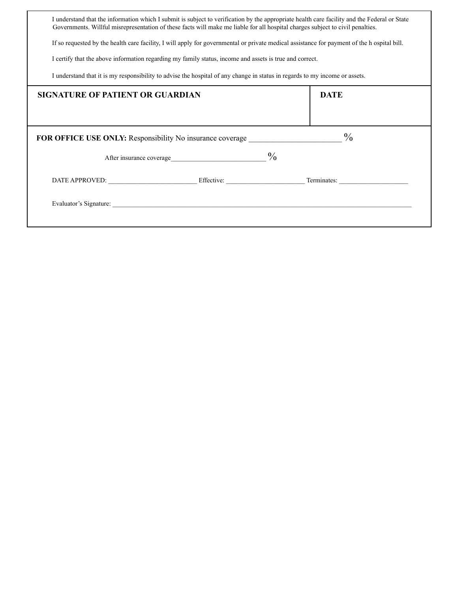| I understand that the information which I submit is subject to verification by the appropriate health care facility and the Federal or State<br>Governments. Willful misrepresentation of these facts will make me liable for all hospital charges subject to civil penalties. |                                                                  |                                                   |  |  |  |  |
|--------------------------------------------------------------------------------------------------------------------------------------------------------------------------------------------------------------------------------------------------------------------------------|------------------------------------------------------------------|---------------------------------------------------|--|--|--|--|
| If so requested by the health care facility, I will apply for governmental or private medical assistance for payment of the h ospital bill.                                                                                                                                    |                                                                  |                                                   |  |  |  |  |
| I certify that the above information regarding my family status, income and assets is true and correct.                                                                                                                                                                        |                                                                  |                                                   |  |  |  |  |
| I understand that it is my responsibility to advise the hospital of any change in status in regards to my income or assets.                                                                                                                                                    |                                                                  |                                                   |  |  |  |  |
| <b>SIGNATURE OF PATIENT OR GUARDIAN</b>                                                                                                                                                                                                                                        |                                                                  | <b>DATE</b>                                       |  |  |  |  |
|                                                                                                                                                                                                                                                                                |                                                                  |                                                   |  |  |  |  |
|                                                                                                                                                                                                                                                                                | <b>FOR OFFICE USE ONLY:</b> Responsibility No insurance coverage | $\frac{0}{0}$                                     |  |  |  |  |
|                                                                                                                                                                                                                                                                                |                                                                  |                                                   |  |  |  |  |
|                                                                                                                                                                                                                                                                                |                                                                  | DATE APPROVED: Effective: Figure 2014 Terminates: |  |  |  |  |
|                                                                                                                                                                                                                                                                                | Evaluator's Signature:                                           |                                                   |  |  |  |  |
|                                                                                                                                                                                                                                                                                |                                                                  |                                                   |  |  |  |  |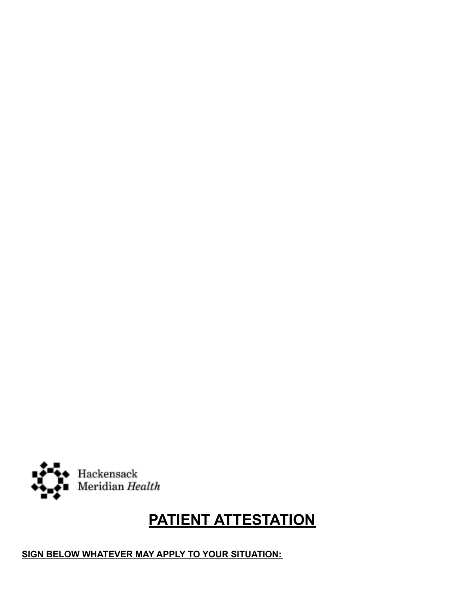# Hackensack<br>Meridian *Health*

# **PATIENT ATTESTATION**

**SIGN BELOW WHATEVER MAY APPLY TO YOUR SITUATION:**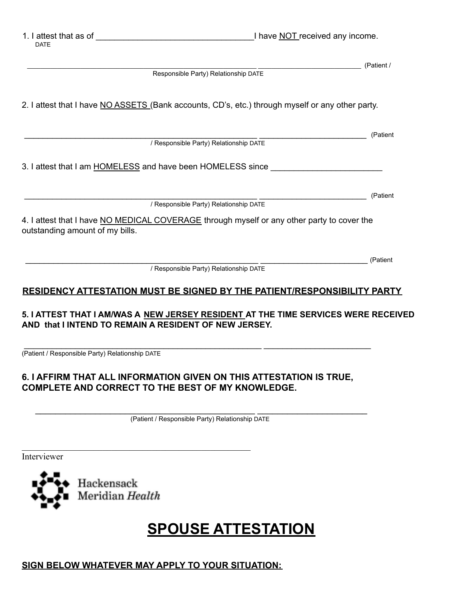1. I attest that as of  $\blacksquare$ 

|                                                                                                                               | (Patient / |
|-------------------------------------------------------------------------------------------------------------------------------|------------|
| Responsible Party) Relationship DATE                                                                                          |            |
| 2. I attest that I have NO ASSETS (Bank accounts, CD's, etc.) through myself or any other party.                              |            |
|                                                                                                                               | (Patient   |
| / Responsible Party) Relationship DATE                                                                                        |            |
| 3. I attest that I am HOMELESS and have been HOMELESS since                                                                   |            |
| / Responsible Party) Relationship DATE                                                                                        | (Patient   |
| 4. I attest that I have NO MEDICAL COVERAGE through myself or any other party to cover the<br>outstanding amount of my bills. |            |
|                                                                                                                               | (Patient   |
| / Responsible Party) Relationship DATE                                                                                        |            |
| RESIDENCY ATTESTATION MUST BE SIGNED BY THE PATIENT/RESPONSIBILITY PARTY                                                      |            |

### **5. I ATTEST THAT I AM/WAS A NEW JERSEY RESIDENT AT THE TIME SERVICES WERE RECEIVED AND that I INTEND TO REMAIN A RESIDENT OF NEW JERSEY.**

\_\_\_\_\_\_\_\_\_\_\_\_\_\_\_\_\_\_\_\_\_\_\_\_\_\_\_\_\_\_\_\_\_\_\_\_\_\_\_\_\_\_\_\_\_\_\_\_\_\_\_ \_\_\_\_\_\_\_\_\_\_\_\_\_\_\_\_\_\_\_\_\_\_\_ (Patient / Responsible Party) Relationship DATE

## **6. I AFFIRM THAT ALL INFORMATION GIVEN ON THIS ATTESTATION IS TRUE, COMPLETE AND CORRECT TO THE BEST OF MY KNOWLEDGE.**

 $\_$  , and the set of the set of the set of the set of the set of the set of the set of the set of the set of the set of the set of the set of the set of the set of the set of the set of the set of the set of the set of th (Patient / Responsible Party) Relationship DATE

Interviewer



# **SPOUSE ATTESTATION**

# **SIGN BELOW WHATEVER MAY APPLY TO YOUR SITUATION:**

 $\mathcal{L}_\text{max}$  , and the contract of the contract of the contract of the contract of the contract of the contract of the contract of the contract of the contract of the contract of the contract of the contract of the contr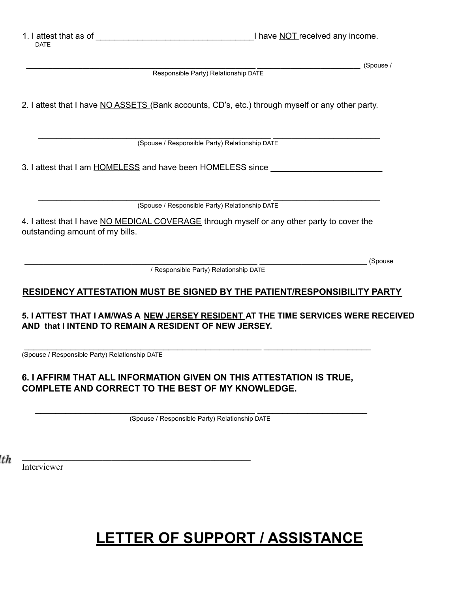1. I attest that as of  $\blacksquare$ 

 $\overline{\qquad \qquad }$  (Spouse / Responsible Party) Relationship DATE 2. I attest that I have NO ASSETS (Bank accounts, CD's, etc.) through myself or any other party. \_\_\_\_\_\_\_\_\_\_\_\_\_\_\_\_\_\_\_\_\_\_\_\_\_\_\_\_\_\_\_\_\_\_\_\_\_\_\_\_\_\_\_\_\_\_\_\_\_\_ \_\_\_\_\_\_\_\_\_\_\_\_\_\_\_\_\_\_\_\_\_\_\_ (Spouse / Responsible Party) Relationship DATE 3. I attest that I am HOMELESS and have been HOMELESS since \_\_\_\_\_\_\_\_\_\_\_\_\_\_\_\_\_\_\_\_ \_\_\_\_\_\_\_\_\_\_\_\_\_\_\_\_\_\_\_\_\_\_\_\_\_\_\_\_\_\_\_\_\_\_\_\_\_\_\_\_\_\_\_\_\_\_\_\_\_\_ \_\_\_\_\_\_\_\_\_\_\_\_\_\_\_\_\_\_\_\_\_\_\_ (Spouse / Responsible Party) Relationship DATE 4. I attest that I have NO MEDICAL COVERAGE through myself or any other party to cover the outstanding amount of my bills. \_\_\_\_\_\_\_\_\_\_\_\_\_\_\_\_\_\_\_\_\_\_\_\_\_\_\_\_\_\_\_\_\_\_\_\_\_\_\_\_\_\_\_\_\_\_\_\_\_\_ \_\_\_\_\_\_\_\_\_\_\_\_\_\_\_\_\_\_\_\_\_\_\_ (Spouse / Responsible Party) Relationship DATE **RESIDENCY ATTESTATION MUST BE SIGNED BY THE PATIENT/RESPONSIBILITY PARTY 5. I ATTEST THAT I AM/WAS A NEW JERSEY RESIDENT AT THE TIME SERVICES WERE RECEIVED AND that I INTEND TO REMAIN A RESIDENT OF NEW JERSEY.** \_\_\_\_\_\_\_\_\_\_\_\_\_\_\_\_\_\_\_\_\_\_\_\_\_\_\_\_\_\_\_\_\_\_\_\_\_\_\_\_\_\_\_\_\_\_\_\_\_\_\_ \_\_\_\_\_\_\_\_\_\_\_\_\_\_\_\_\_\_\_\_\_\_\_ (Spouse / Responsible Party) Relationship DATE

### **6. I AFFIRM THAT ALL INFORMATION GIVEN ON THIS ATTESTATION IS TRUE, COMPLETE AND CORRECT TO THE BEST OF MY KNOWLEDGE.**

 $\mathcal{L}_\text{max}$  , and the contract of the contract of the contract of the contract of the contract of the contract of the contract of the contract of the contract of the contract of the contract of the contract of the contr

 $\_$  , and the set of the set of the set of the set of the set of the set of the set of the set of the set of the set of the set of the set of the set of the set of the set of the set of the set of the set of the set of th (Spouse / Responsible Party) Relationship DATE

't h

Interviewer

# **LETTER OF SUPPORT / ASSISTANCE**